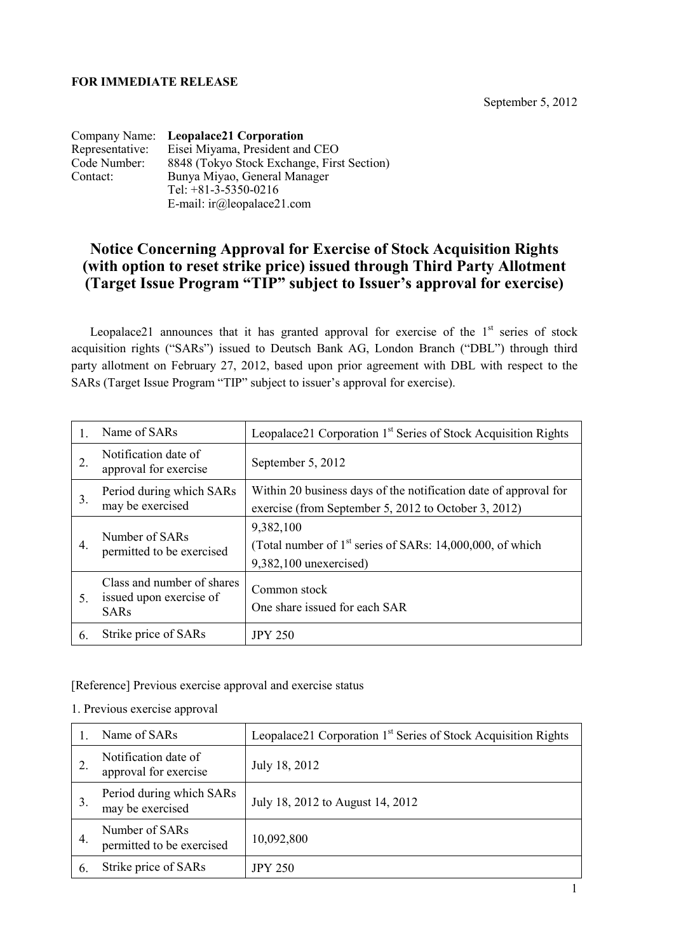## **FOR IMMEDIATE RELEASE**

September 5, 2012

|                 | Company Name: Leopalace21 Corporation      |
|-----------------|--------------------------------------------|
| Representative: | Eisei Miyama, President and CEO            |
| Code Number:    | 8848 (Tokyo Stock Exchange, First Section) |
| Contact:        | Bunya Miyao, General Manager               |
|                 | Tel: $+81-3-5350-0216$                     |
|                 | E-mail: $ir(\omega)$ leopalace21.com       |

## **Notice Concerning Approval for Exercise of Stock Acquisition Rights (with option to reset strike price) issued through Third Party Allotment (Target Issue Program "TIP" subject to Issuer's approval for exercise)**

Leopalace21 announces that it has granted approval for exercise of the  $1<sup>st</sup>$  series of stock acquisition rights ("SARs") issued to Deutsch Bank AG, London Branch ("DBL") through third party allotment on February 27, 2012, based upon prior agreement with DBL with respect to the SARs (Target Issue Program "TIP" subject to issuer's approval for exercise).

| 1. | Name of SARs                                                         | Leopalace21 Corporation 1 <sup>st</sup> Series of Stock Acquisition Rights                                               |  |  |
|----|----------------------------------------------------------------------|--------------------------------------------------------------------------------------------------------------------------|--|--|
| 2. | Notification date of<br>approval for exercise                        | September 5, 2012                                                                                                        |  |  |
| 3. | Period during which SARs<br>may be exercised                         | Within 20 business days of the notification date of approval for<br>exercise (from September 5, 2012 to October 3, 2012) |  |  |
| 4. | Number of SARs<br>permitted to be exercised                          | 9,382,100<br>(Total number of $1st$ series of SARs: 14,000,000, of which<br>$9,382,100$ unexercised)                     |  |  |
| 5. | Class and number of shares<br>issued upon exercise of<br><b>SARs</b> | Common stock<br>One share issued for each SAR                                                                            |  |  |
| 6. | Strike price of SARs                                                 | <b>JPY 250</b>                                                                                                           |  |  |

[Reference] Previous exercise approval and exercise status

## 1. Previous exercise approval

|    | Name of SAR <sub>s</sub>                      | Leopalace21 Corporation 1 <sup>st</sup> Series of Stock Acquisition Rights |  |  |
|----|-----------------------------------------------|----------------------------------------------------------------------------|--|--|
|    | Notification date of<br>approval for exercise | July 18, 2012                                                              |  |  |
| 3. | Period during which SARs<br>may be exercised  | July 18, 2012 to August 14, 2012                                           |  |  |
| 4. | Number of SARs<br>permitted to be exercised   | 10,092,800                                                                 |  |  |
| 6. | Strike price of SARs                          | <b>JPY 250</b>                                                             |  |  |